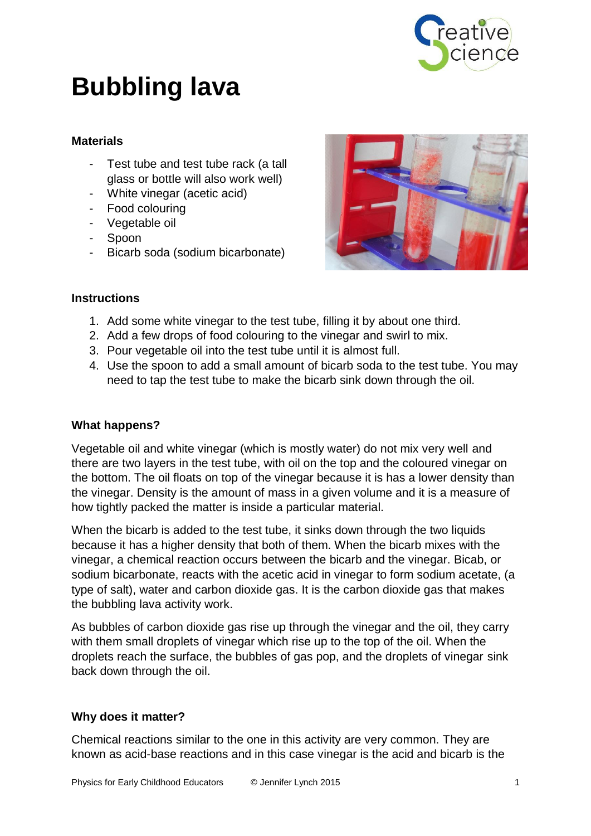

# **Bubbling lava**

### **Materials**

- Test tube and test tube rack (a tall glass or bottle will also work well)
- White vinegar (acetic acid)
- Food colouring
- Vegetable oil
- Spoon
- Bicarb soda (sodium bicarbonate)



#### **Instructions**

- 1. Add some white vinegar to the test tube, filling it by about one third.
- 2. Add a few drops of food colouring to the vinegar and swirl to mix.
- 3. Pour vegetable oil into the test tube until it is almost full.
- 4. Use the spoon to add a small amount of bicarb soda to the test tube. You may need to tap the test tube to make the bicarb sink down through the oil.

### **What happens?**

Vegetable oil and white vinegar (which is mostly water) do not mix very well and there are two layers in the test tube, with oil on the top and the coloured vinegar on the bottom. The oil floats on top of the vinegar because it is has a lower density than the vinegar. Density is the amount of mass in a given volume and it is a measure of how tightly packed the matter is inside a particular material.

When the bicarb is added to the test tube, it sinks down through the two liquids because it has a higher density that both of them. When the bicarb mixes with the vinegar, a chemical reaction occurs between the bicarb and the vinegar. Bicab, or sodium bicarbonate, reacts with the acetic acid in vinegar to form sodium acetate, (a type of salt), water and carbon dioxide gas. It is the carbon dioxide gas that makes the bubbling lava activity work.

As bubbles of carbon dioxide gas rise up through the vinegar and the oil, they carry with them small droplets of vinegar which rise up to the top of the oil. When the droplets reach the surface, the bubbles of gas pop, and the droplets of vinegar sink back down through the oil.

## **Why does it matter?**

Chemical reactions similar to the one in this activity are very common. They are known as acid-base reactions and in this case vinegar is the acid and bicarb is the